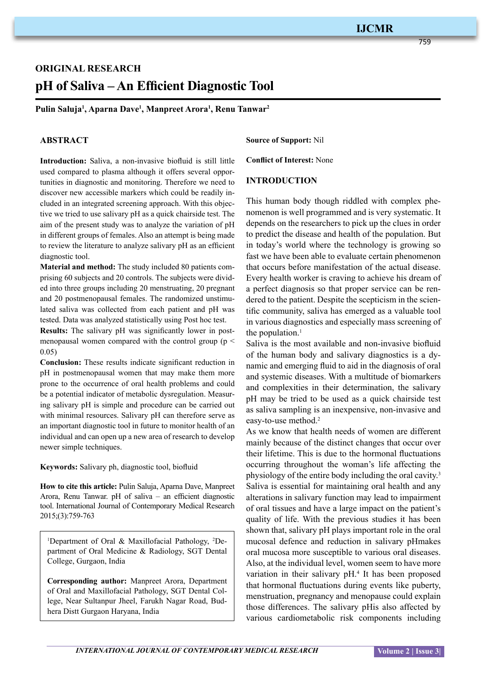759

# **original research pH of Saliva – An Efficient Diagnostic Tool**

**Pulin Saluja1 , Aparna Dave<sup>1</sup> , Manpreet Arora<sup>1</sup> , Renu Tanwar<sup>2</sup>**

## **ABSTRACT**

**Introduction:** Saliva, a non-invasive biofluid is still little used compared to plasma although it offers several opportunities in diagnostic and monitoring. Therefore we need to discover new accessible markers which could be readily included in an integrated screening approach. With this objective we tried to use salivary pH as a quick chairside test. The aim of the present study was to analyze the variation of pH in different groups of females. Also an attempt is being made to review the literature to analyze salivary pH as an efficient diagnostic tool.

**Material and method:** The study included 80 patients comprising 60 subjects and 20 controls. The subjects were divided into three groups including 20 menstruating, 20 pregnant and 20 postmenopausal females. The randomized unstimulated saliva was collected from each patient and pH was tested. Data was analyzed statistically using Post hoc test.

**Results:** The salivary pH was significantly lower in postmenopausal women compared with the control group ( $p <$ 0.05)

**Conclusion:** These results indicate significant reduction in pH in postmenopausal women that may make them more prone to the occurrence of oral health problems and could be a potential indicator of metabolic dysregulation. Measuring salivary pH is simple and procedure can be carried out with minimal resources. Salivary pH can therefore serve as an important diagnostic tool in future to monitor health of an individual and can open up a new area of research to develop newer simple techniques.

**Keywords:** Salivary ph, diagnostic tool, biofluid

**How to cite this article:** Pulin Saluja, Aparna Dave, Manpreet Arora, Renu Tanwar. pH of saliva – an efficient diagnostic tool. International Journal of Contemporary Medical Research 2015;(3):759-763

<sup>1</sup>Department of Oral & Maxillofacial Pathology, <sup>2</sup>Department of Oral Medicine & Radiology, SGT Dental College, Gurgaon, India

**Corresponding author:** Manpreet Arora, Department of Oral and Maxillofacial Pathology, SGT Dental College, Near Sultanpur Jheel, Farukh Nagar Road, Budhera Distt Gurgaon Haryana, India

**Source of Support:** Nil

**Conflict of Interest:** None

## **INTRODUCTION**

This human body though riddled with complex phenomenon is well programmed and is very systematic. It depends on the researchers to pick up the clues in order to predict the disease and health of the population. But in today's world where the technology is growing so fast we have been able to evaluate certain phenomenon that occurs before manifestation of the actual disease. Every health worker is craving to achieve his dream of a perfect diagnosis so that proper service can be rendered to the patient. Despite the scepticism in the scientific community, saliva has emerged as a valuable tool in various diagnostics and especially mass screening of the population.<sup>1</sup>

Saliva is the most available and non-invasive biofluid of the human body and salivary diagnostics is a dynamic and emerging fluid to aid in the diagnosis of oral and systemic diseases. With a multitude of biomarkers and complexities in their determination, the salivary pH may be tried to be used as a quick chairside test as saliva sampling is an inexpensive, non-invasive and easy-to-use method.<sup>2</sup>

As we know that health needs of women are different mainly because of the distinct changes that occur over their lifetime. This is due to the hormonal fluctuations occurring throughout the woman's life affecting the physiology of the entire body including the oral cavity.3 Saliva is essential for maintaining oral health and any alterations in salivary function may lead to impairment of oral tissues and have a large impact on the patient's quality of life. With the previous studies it has been shown that, salivary pH plays important role in the oral mucosal defence and reduction in salivary pHmakes oral mucosa more susceptible to various oral diseases. Also, at the individual level, women seem to have more variation in their salivary pH.<sup>4</sup> It has been proposed that hormonal fluctuations during events like puberty, menstruation, pregnancy and menopause could explain those differences. The salivary pHis also affected by various cardiometabolic risk components including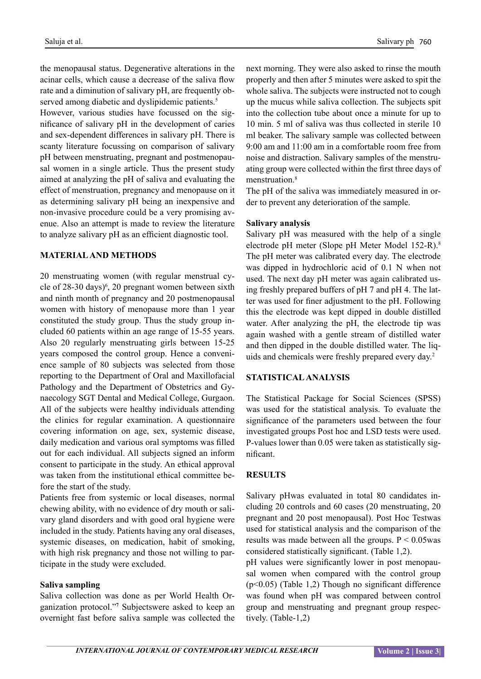the menopausal status. Degenerative alterations in the acinar cells, which cause a decrease of the saliva flow rate and a diminution of salivary pH, are frequently observed among diabetic and dyslipidemic patients.<sup>5</sup>

However, various studies have focussed on the significance of salivary pH in the development of caries and sex-dependent differences in salivary pH. There is scanty literature focussing on comparison of salivary pH between menstruating, pregnant and postmenopausal women in a single article. Thus the present study aimed at analyzing the pH of saliva and evaluating the effect of menstruation, pregnancy and menopause on it as determining salivary pH being an inexpensive and non-invasive procedure could be a very promising avenue. Also an attempt is made to review the literature to analyze salivary pH as an efficient diagnostic tool.

## **MATERIAL AND METHODS**

20 menstruating women (with regular menstrual cycle of  $28-30 \text{ days}$ <sup>6</sup>, 20 pregnant women between sixth and ninth month of pregnancy and 20 postmenopausal women with history of menopause more than 1 year constituted the study group. Thus the study group included 60 patients within an age range of 15-55 years. Also 20 regularly menstruating girls between 15-25 years composed the control group. Hence a convenience sample of 80 subjects was selected from those reporting to the Department of Oral and Maxillofacial Pathology and the Department of Obstetrics and Gynaecology SGT Dental and Medical College, Gurgaon. All of the subjects were healthy individuals attending the clinics for regular examination. A questionnaire covering information on age, sex, systemic disease, daily medication and various oral symptoms was filled out for each individual. All subjects signed an inform consent to participate in the study. An ethical approval was taken from the institutional ethical committee before the start of the study.

Patients free from systemic or local diseases, normal chewing ability, with no evidence of dry mouth or salivary gland disorders and with good oral hygiene were included in the study. Patients having any oral diseases, systemic diseases, on medication, habit of smoking, with high risk pregnancy and those not willing to participate in the study were excluded.

## **Saliva sampling**

Saliva collection was done as per World Health Organization protocol."**<sup>7</sup>** Subjectswere asked to keep an overnight fast before saliva sample was collected the next morning. They were also asked to rinse the mouth properly and then after 5 minutes were asked to spit the whole saliva. The subjects were instructed not to cough up the mucus while saliva collection. The subjects spit into the collection tube about once a minute for up to 10 min. 5 ml of saliva was thus collected in sterile 10 ml beaker. The salivary sample was collected between 9:00 am and 11:00 am in a comfortable room free from noise and distraction. Salivary samples of the menstruating group were collected within the first three days of menstruation<sup>8</sup>

The pH of the saliva was immediately measured in order to prevent any deterioration of the sample.

## **Salivary analysis**

Salivary pH was measured with the help of a single electrode pH meter (Slope pH Meter Model 152-R).8 The pH meter was calibrated every day. The electrode was dipped in hydrochloric acid of 0.1 N when not used. The next day pH meter was again calibrated using freshly prepared buffers of pH 7 and pH 4. The latter was used for finer adjustment to the pH. Following this the electrode was kept dipped in double distilled water. After analyzing the pH, the electrode tip was again washed with a gentle stream of distilled water and then dipped in the double distilled water. The liquids and chemicals were freshly prepared every day.2

#### **Statisticalanalysis**

The Statistical Package for Social Sciences (SPSS) was used for the statistical analysis. To evaluate the significance of the parameters used between the four investigated groups Post hoc and LSD tests were used. P-values lower than 0.05 were taken as statistically significant.

## **RESULTS**

Salivary pHwas evaluated in total 80 candidates including 20 controls and 60 cases (20 menstruating, 20 pregnant and 20 post menopausal). Post Hoc Testwas used for statistical analysis and the comparison of the results was made between all the groups.  $P \le 0.05$  was considered statistically significant. (Table 1,2).

pH values were significantly lower in post menopausal women when compared with the control group (p<0.05) (Table 1,2) Though no significant difference was found when pH was compared between control group and menstruating and pregnant group respectively. (Table-1,2)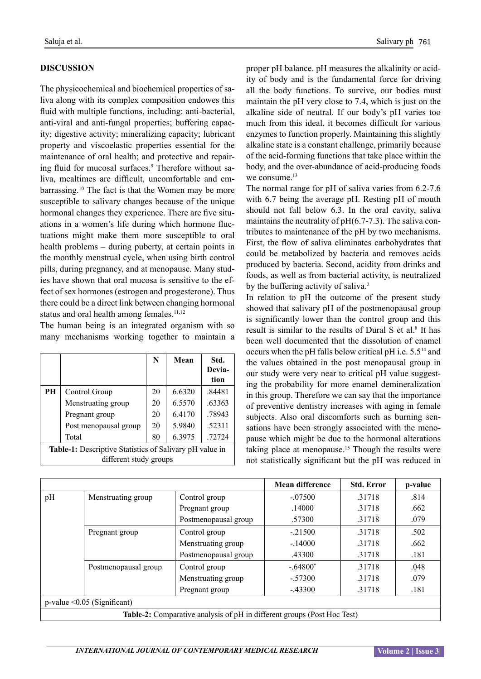## **DISCUSSION**

The physicochemical and biochemical properties of saliva along with its complex composition endowes this fluid with multiple functions, including: anti-bacterial, anti-viral and anti-fungal properties; buffering capacity; digestive activity; mineralizing capacity; lubricant property and viscoelastic properties essential for the maintenance of oral health; and protective and repairing fluid for mucosal surfaces.<sup>9</sup> Therefore without saliva, mealtimes are difficult, uncomfortable and embarrassing.10 The fact is that the Women may be more susceptible to salivary changes because of the unique hormonal changes they experience. There are five situations in a women's life during which hormone fluctuations might make them more susceptible to oral health problems – during puberty, at certain points in the monthly menstrual cycle, when using birth control pills, during pregnancy, and at menopause. Many studies have shown that oral mucosa is sensitive to the effect of sex hormones (estrogen and progesterone). Thus there could be a direct link between changing hormonal status and oral health among females. $11,12$ 

The human being is an integrated organism with so many mechanisms working together to maintain a

|                                                                                          |                       | N  | Mean   | Std.<br>Devia-<br>tion |  |  |  |
|------------------------------------------------------------------------------------------|-----------------------|----|--------|------------------------|--|--|--|
| PH                                                                                       | Control Group         | 20 | 6.6320 | .84481                 |  |  |  |
|                                                                                          | Menstruating group    | 20 | 6.5570 | .63363                 |  |  |  |
|                                                                                          | Pregnant group        | 20 | 6.4170 | .78943                 |  |  |  |
|                                                                                          | Post menopausal group | 20 | 5.9840 | .52311                 |  |  |  |
|                                                                                          | Total                 | 80 | 6.3975 | .72724                 |  |  |  |
| <b>Table-1:</b> Descriptive Statistics of Salivary pH value in<br>different study groups |                       |    |        |                        |  |  |  |

proper pH balance. pH measures the alkalinity or acidity of body and is the fundamental force for driving all the body functions. To survive, our bodies must maintain the pH very close to 7.4, which is just on the alkaline side of neutral. If our body's pH varies too much from this ideal, it becomes difficult for various enzymes to function properly. Maintaining this slightly alkaline state is a constant challenge, primarily because of the acid-forming functions that take place within the body, and the over-abundance of acid-producing foods we consume  $13$ 

The normal range for pH of saliva varies from 6.2-7.6 with 6.7 being the average pH. Resting pH of mouth should not fall below 6.3. In the oral cavity, saliva maintains the neutrality of pH(6.7-7.3). The saliva contributes to maintenance of the pH by two mechanisms. First, the flow of saliva eliminates carbohydrates that could be metabolized by bacteria and removes acids produced by bacteria. Second, acidity from drinks and foods, as well as from bacterial activity, is neutralized by the buffering activity of saliva.<sup>2</sup>

In relation to pH the outcome of the present study showed that salivary pH of the postmenopausal group is significantly lower than the control group and this result is similar to the results of Dural  $S$  et al.<sup>8</sup> It has been well documented that the dissolution of enamel occurs when the pH falls below critical pH i.e. 5.514 and the values obtained in the post menopausal group in our study were very near to critical pH value suggesting the probability for more enamel demineralization in this group. Therefore we can say that the importance of preventive dentistry increases with aging in female subjects. Also oral discomforts such as burning sensations have been strongly associated with the menopause which might be due to the hormonal alterations taking place at menopause.<sup>15</sup> Though the results were not statistically significant but the pH was reduced in

|                                                                         |                      |                      | <b>Mean difference</b> | <b>Std. Error</b> | p-value |  |  |  |
|-------------------------------------------------------------------------|----------------------|----------------------|------------------------|-------------------|---------|--|--|--|
| pH                                                                      | Menstruating group   | Control group        | $-.07500$              | .31718            | .814    |  |  |  |
|                                                                         |                      | Pregnant group       | .14000                 | .31718            | .662    |  |  |  |
|                                                                         |                      | Postmenopausal group | .57300                 | .31718            | .079    |  |  |  |
|                                                                         | Pregnant group       | Control group        | $-.21500$              | .31718            | .502    |  |  |  |
|                                                                         |                      | Menstruating group   | $-.14000$              | .31718            | .662    |  |  |  |
|                                                                         |                      | Postmenopausal group | .43300                 | .31718            | .181    |  |  |  |
|                                                                         | Postmenopausal group | Control group        | $-.64800*$             | .31718            | .048    |  |  |  |
|                                                                         |                      | Menstruating group   | $-.57300$              | .31718            | .079    |  |  |  |
|                                                                         |                      | Pregnant group       | $-.43300$              | .31718            | .181    |  |  |  |
| $p$ -value < $0.05$ (Significant)                                       |                      |                      |                        |                   |         |  |  |  |
| Table-2: Comparative analysis of pH in different groups (Post Hoc Test) |                      |                      |                        |                   |         |  |  |  |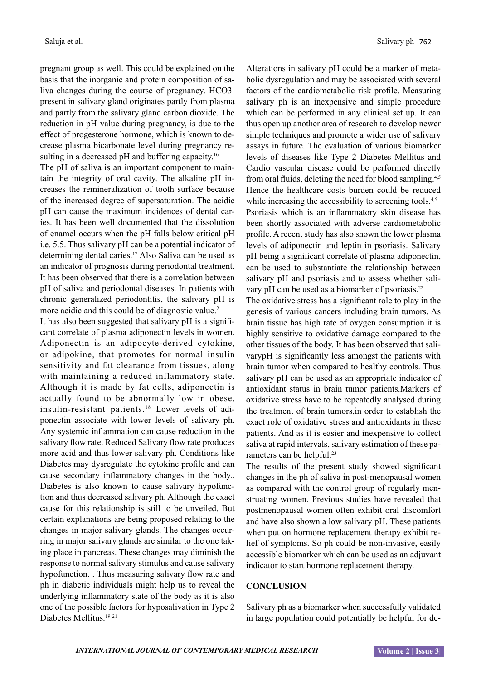pregnant group as well. This could be explained on the basis that the inorganic and protein composition of saliva changes during the course of pregnancy. HCO3– present in salivary gland originates partly from plasma and partly from the salivary gland carbon dioxide. The reduction in pH value during pregnancy, is due to the effect of progesterone hormone, which is known to decrease plasma bicarbonate level during pregnancy resulting in a decreased pH and buffering capacity.<sup>16</sup>

The pH of saliva is an important component to maintain the integrity of oral cavity. The alkaline pH increases the remineralization of tooth surface because of the increased degree of supersaturation. The acidic pH can cause the maximum incidences of dental caries. It has been well documented that the dissolution of enamel occurs when the pH falls below critical pH i.e. 5.5. Thus salivary pH can be a potential indicator of determining dental caries.17 Also Saliva can be used as an indicator of prognosis during periodontal treatment. It has been observed that there is a correlation between pH of saliva and periodontal diseases. In patients with chronic generalized periodontitis, the salivary pH is more acidic and this could be of diagnostic value.<sup>2</sup>

It has also been suggested that salivary pH is a significant correlate of plasma adiponectin levels in women. Adiponectin is an adipocyte-derived cytokine, or adipokine, that promotes for normal insulin sensitivity and fat clearance from tissues, along with maintaining a reduced inflammatory state. Although it is made by fat cells, adiponectin is actually found to be abnormally low in obese, insulin-resistant patients.18 Lower levels of adiponectin associate with lower levels of salivary ph. Any systemic inflammation can cause reduction in the salivary flow rate. Reduced Salivary flow rate produces more acid and thus lower salivary ph. Conditions like Diabetes may dysregulate the cytokine profile and can cause secondary inflammatory changes in the body.. Diabetes is also known to cause salivary hypofunction and thus decreased salivary ph. Although the exact cause for this relationship is still to be unveiled. But certain explanations are being proposed relating to the changes in major salivary glands. The changes occurring in major salivary glands are similar to the one taking place in pancreas. These changes may diminish the response to normal salivary stimulus and cause salivary hypofunction. . Thus measuring salivary flow rate and ph in diabetic individuals might help us to reveal the underlying inflammatory state of the body as it is also one of the possible factors for hyposalivation in Type 2 Diabetes Mellitus.19-21

Alterations in salivary pH could be a marker of metabolic dysregulation and may be associated with several factors of the cardiometabolic risk profile. Measuring salivary ph is an inexpensive and simple procedure which can be performed in any clinical set up. It can thus open up another area of research to develop newer simple techniques and promote a wider use of salivary assays in future. The evaluation of various biomarker levels of diseases like Type 2 Diabetes Mellitus and Cardio vascular disease could be performed directly from oral fluids, deleting the need for blood sampling.<sup>4,5</sup> Hence the healthcare costs burden could be reduced while increasing the accessibility to screening tools.<sup>4,5</sup> Psoriasis which is an inflammatory skin disease has been shortly associated with adverse cardiometabolic profile. A recent study has also shown the lower plasma levels of adiponectin and leptin in psoriasis. Salivary pH being a significant correlate of plasma adiponectin, can be used to substantiate the relationship between salivary pH and psoriasis and to assess whether salivary pH can be used as a biomarker of psoriasis.<sup>22</sup>

The oxidative stress has a significant role to play in the genesis of various cancers including brain tumors. As brain tissue has high rate of oxygen consumption it is highly sensitive to oxidative damage compared to the other tissues of the body. It has been observed that salivarypH is significantly less amongst the patients with brain tumor when compared to healthy controls. Thus salivary pH can be used as an appropriate indicator of antioxidant status in brain tumor patients.Markers of oxidative stress have to be repeatedly analysed during the treatment of brain tumors,in order to establish the exact role of oxidative stress and antioxidants in these patients. And as it is easier and inexpensive to collect saliva at rapid intervals, salivary estimation of these parameters can be helpful.<sup>23</sup>

The results of the present study showed significant changes in the ph of saliva in post-menopausal women as compared with the control group of regularly menstruating women. Previous studies have revealed that postmenopausal women often exhibit oral discomfort and have also shown a low salivary pH. These patients when put on hormone replacement therapy exhibit relief of symptoms. So ph could be non-invasive, easily accessible biomarker which can be used as an adjuvant indicator to start hormone replacement therapy.

#### **CONCLUSION**

Salivary ph as a biomarker when successfully validated in large population could potentially be helpful for de